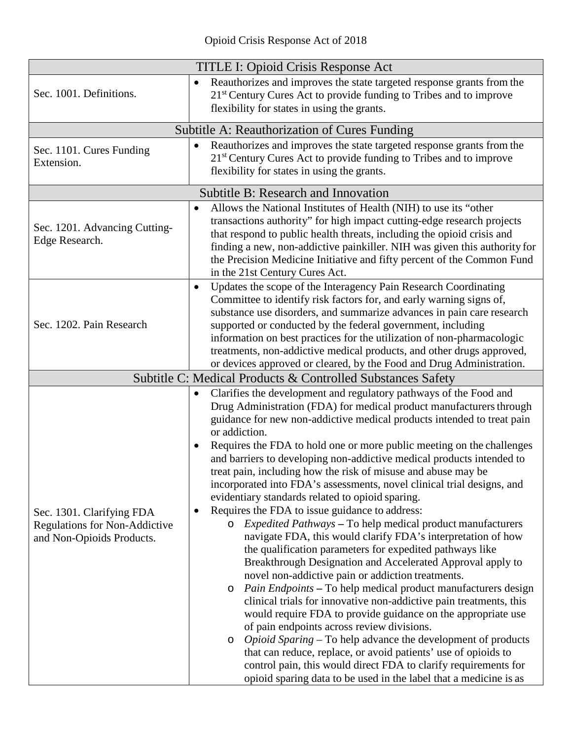|                                                                                                | <b>TITLE I: Opioid Crisis Response Act</b>                                                                                                                                                                                                                                                                                                                                                                                                                                                                                                                                                                                                                                                                                                                                                                                                                                                                                                                                                                                                                                                                                                                                                                                                                                                                                                                                                                                                                                                          |
|------------------------------------------------------------------------------------------------|-----------------------------------------------------------------------------------------------------------------------------------------------------------------------------------------------------------------------------------------------------------------------------------------------------------------------------------------------------------------------------------------------------------------------------------------------------------------------------------------------------------------------------------------------------------------------------------------------------------------------------------------------------------------------------------------------------------------------------------------------------------------------------------------------------------------------------------------------------------------------------------------------------------------------------------------------------------------------------------------------------------------------------------------------------------------------------------------------------------------------------------------------------------------------------------------------------------------------------------------------------------------------------------------------------------------------------------------------------------------------------------------------------------------------------------------------------------------------------------------------------|
| Sec. 1001. Definitions.                                                                        | Reauthorizes and improves the state targeted response grants from the<br>$\bullet$<br>21 <sup>st</sup> Century Cures Act to provide funding to Tribes and to improve<br>flexibility for states in using the grants.                                                                                                                                                                                                                                                                                                                                                                                                                                                                                                                                                                                                                                                                                                                                                                                                                                                                                                                                                                                                                                                                                                                                                                                                                                                                                 |
|                                                                                                | Subtitle A: Reauthorization of Cures Funding                                                                                                                                                                                                                                                                                                                                                                                                                                                                                                                                                                                                                                                                                                                                                                                                                                                                                                                                                                                                                                                                                                                                                                                                                                                                                                                                                                                                                                                        |
| Sec. 1101. Cures Funding<br>Extension.                                                         | Reauthorizes and improves the state targeted response grants from the<br>$\bullet$<br>21 <sup>st</sup> Century Cures Act to provide funding to Tribes and to improve<br>flexibility for states in using the grants.                                                                                                                                                                                                                                                                                                                                                                                                                                                                                                                                                                                                                                                                                                                                                                                                                                                                                                                                                                                                                                                                                                                                                                                                                                                                                 |
|                                                                                                | <b>Subtitle B: Research and Innovation</b>                                                                                                                                                                                                                                                                                                                                                                                                                                                                                                                                                                                                                                                                                                                                                                                                                                                                                                                                                                                                                                                                                                                                                                                                                                                                                                                                                                                                                                                          |
| Sec. 1201. Advancing Cutting-<br>Edge Research.                                                | Allows the National Institutes of Health (NIH) to use its "other<br>$\bullet$<br>transactions authority" for high impact cutting-edge research projects<br>that respond to public health threats, including the opioid crisis and<br>finding a new, non-addictive painkiller. NIH was given this authority for<br>the Precision Medicine Initiative and fifty percent of the Common Fund<br>in the 21st Century Cures Act.                                                                                                                                                                                                                                                                                                                                                                                                                                                                                                                                                                                                                                                                                                                                                                                                                                                                                                                                                                                                                                                                          |
| Sec. 1202. Pain Research                                                                       | Updates the scope of the Interagency Pain Research Coordinating<br>$\bullet$<br>Committee to identify risk factors for, and early warning signs of,<br>substance use disorders, and summarize advances in pain care research<br>supported or conducted by the federal government, including<br>information on best practices for the utilization of non-pharmacologic<br>treatments, non-addictive medical products, and other drugs approved,<br>or devices approved or cleared, by the Food and Drug Administration.                                                                                                                                                                                                                                                                                                                                                                                                                                                                                                                                                                                                                                                                                                                                                                                                                                                                                                                                                                              |
|                                                                                                | Subtitle C: Medical Products & Controlled Substances Safety                                                                                                                                                                                                                                                                                                                                                                                                                                                                                                                                                                                                                                                                                                                                                                                                                                                                                                                                                                                                                                                                                                                                                                                                                                                                                                                                                                                                                                         |
| Sec. 1301. Clarifying FDA<br><b>Regulations for Non-Addictive</b><br>and Non-Opioids Products. | Clarifies the development and regulatory pathways of the Food and<br>$\bullet$<br>Drug Administration (FDA) for medical product manufacturers through<br>guidance for new non-addictive medical products intended to treat pain<br>or addiction.<br>Requires the FDA to hold one or more public meeting on the challenges<br>$\bullet$<br>and barriers to developing non-addictive medical products intended to<br>treat pain, including how the risk of misuse and abuse may be<br>incorporated into FDA's assessments, novel clinical trial designs, and<br>evidentiary standards related to opioid sparing.<br>Requires the FDA to issue guidance to address:<br>$\bullet$<br><i>Expedited Pathways</i> – To help medical product manufacturers<br>$\circ$<br>navigate FDA, this would clarify FDA's interpretation of how<br>the qualification parameters for expedited pathways like<br>Breakthrough Designation and Accelerated Approval apply to<br>novel non-addictive pain or addiction treatments.<br>Pain Endpoints - To help medical product manufacturers design<br>$\circ$<br>clinical trials for innovative non-addictive pain treatments, this<br>would require FDA to provide guidance on the appropriate use<br>of pain endpoints across review divisions.<br><i>Opioid Sparing</i> – To help advance the development of products<br>$\circ$<br>that can reduce, replace, or avoid patients' use of opioids to<br>control pain, this would direct FDA to clarify requirements for |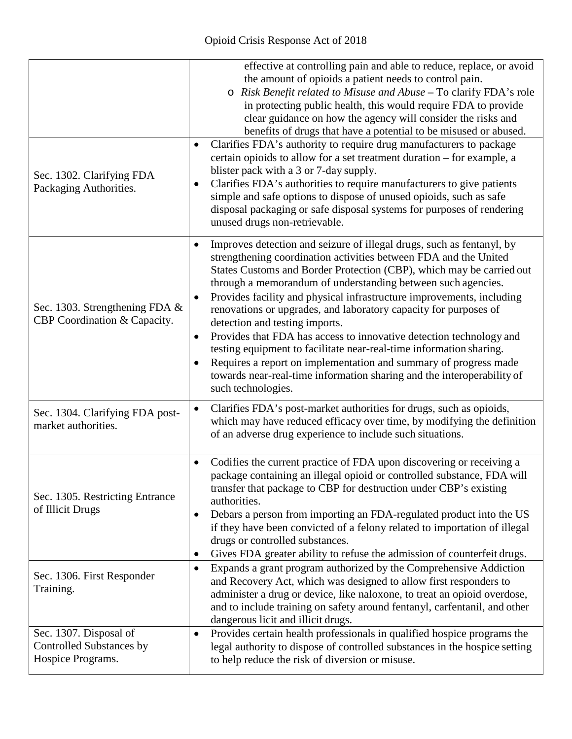|                                                                         | effective at controlling pain and able to reduce, replace, or avoid<br>the amount of opioids a patient needs to control pain.<br>o Risk Benefit related to Misuse and Abuse - To clarify FDA's role<br>in protecting public health, this would require FDA to provide<br>clear guidance on how the agency will consider the risks and<br>benefits of drugs that have a potential to be misused or abused.                                                                                                                                                                                                                                                                                                                                                                                                                              |
|-------------------------------------------------------------------------|----------------------------------------------------------------------------------------------------------------------------------------------------------------------------------------------------------------------------------------------------------------------------------------------------------------------------------------------------------------------------------------------------------------------------------------------------------------------------------------------------------------------------------------------------------------------------------------------------------------------------------------------------------------------------------------------------------------------------------------------------------------------------------------------------------------------------------------|
| Sec. 1302. Clarifying FDA<br>Packaging Authorities.                     | Clarifies FDA's authority to require drug manufacturers to package<br>$\bullet$<br>certain opioids to allow for a set treatment duration – for example, a<br>blister pack with a 3 or 7-day supply.<br>Clarifies FDA's authorities to require manufacturers to give patients<br>$\bullet$<br>simple and safe options to dispose of unused opioids, such as safe<br>disposal packaging or safe disposal systems for purposes of rendering<br>unused drugs non-retrievable.                                                                                                                                                                                                                                                                                                                                                              |
| Sec. 1303. Strengthening FDA &<br>CBP Coordination & Capacity.          | Improves detection and seizure of illegal drugs, such as fentanyl, by<br>$\bullet$<br>strengthening coordination activities between FDA and the United<br>States Customs and Border Protection (CBP), which may be carried out<br>through a memorandum of understanding between such agencies.<br>Provides facility and physical infrastructure improvements, including<br>$\bullet$<br>renovations or upgrades, and laboratory capacity for purposes of<br>detection and testing imports.<br>Provides that FDA has access to innovative detection technology and<br>$\bullet$<br>testing equipment to facilitate near-real-time information sharing.<br>Requires a report on implementation and summary of progress made<br>$\bullet$<br>towards near-real-time information sharing and the interoperability of<br>such technologies. |
| Sec. 1304. Clarifying FDA post-<br>market authorities.                  | Clarifies FDA's post-market authorities for drugs, such as opioids,<br>$\bullet$<br>which may have reduced efficacy over time, by modifying the definition<br>of an adverse drug experience to include such situations.                                                                                                                                                                                                                                                                                                                                                                                                                                                                                                                                                                                                                |
| Sec. 1305. Restricting Entrance<br>of Illicit Drugs                     | Codifies the current practice of FDA upon discovering or receiving a<br>$\bullet$<br>package containing an illegal opioid or controlled substance, FDA will<br>transfer that package to CBP for destruction under CBP's existing<br>authorities.<br>Debars a person from importing an FDA-regulated product into the US<br>$\bullet$<br>if they have been convicted of a felony related to importation of illegal<br>drugs or controlled substances.<br>Gives FDA greater ability to refuse the admission of counterfeit drugs.                                                                                                                                                                                                                                                                                                        |
| Sec. 1306. First Responder<br>Training.                                 | Expands a grant program authorized by the Comprehensive Addiction<br>$\bullet$<br>and Recovery Act, which was designed to allow first responders to<br>administer a drug or device, like naloxone, to treat an opioid overdose,<br>and to include training on safety around fentanyl, carfentanil, and other<br>dangerous licit and illicit drugs.                                                                                                                                                                                                                                                                                                                                                                                                                                                                                     |
| Sec. 1307. Disposal of<br>Controlled Substances by<br>Hospice Programs. | Provides certain health professionals in qualified hospice programs the<br>$\bullet$<br>legal authority to dispose of controlled substances in the hospice setting<br>to help reduce the risk of diversion or misuse.                                                                                                                                                                                                                                                                                                                                                                                                                                                                                                                                                                                                                  |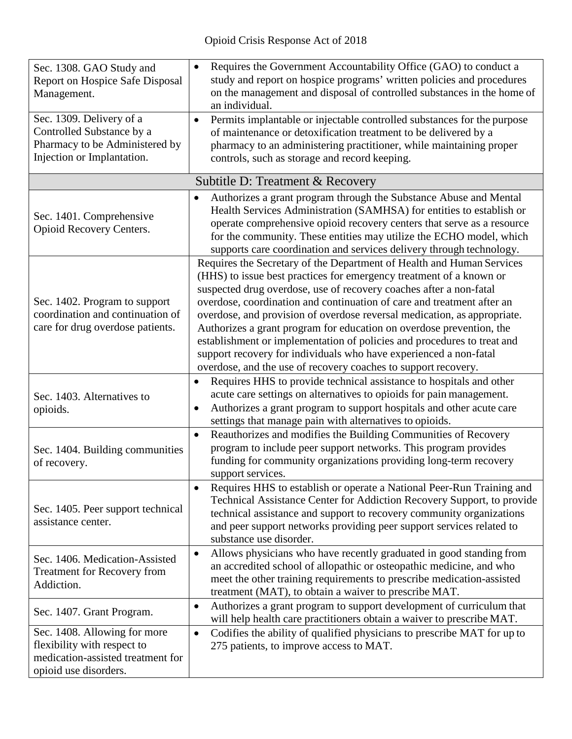| Sec. 1308. GAO Study and<br><b>Report on Hospice Safe Disposal</b><br>Management.<br>Sec. 1309. Delivery of a<br>Controlled Substance by a<br>Pharmacy to be Administered by<br>Injection or Implantation. | Requires the Government Accountability Office (GAO) to conduct a<br>$\bullet$<br>study and report on hospice programs' written policies and procedures<br>on the management and disposal of controlled substances in the home of<br>an individual.<br>Permits implantable or injectable controlled substances for the purpose<br>$\bullet$<br>of maintenance or detoxification treatment to be delivered by a<br>pharmacy to an administering practitioner, while maintaining proper<br>controls, such as storage and record keeping.                                                                                                                              |
|------------------------------------------------------------------------------------------------------------------------------------------------------------------------------------------------------------|--------------------------------------------------------------------------------------------------------------------------------------------------------------------------------------------------------------------------------------------------------------------------------------------------------------------------------------------------------------------------------------------------------------------------------------------------------------------------------------------------------------------------------------------------------------------------------------------------------------------------------------------------------------------|
|                                                                                                                                                                                                            | Subtitle D: Treatment & Recovery                                                                                                                                                                                                                                                                                                                                                                                                                                                                                                                                                                                                                                   |
| Sec. 1401. Comprehensive<br>Opioid Recovery Centers.                                                                                                                                                       | Authorizes a grant program through the Substance Abuse and Mental<br>٠<br>Health Services Administration (SAMHSA) for entities to establish or<br>operate comprehensive opioid recovery centers that serve as a resource<br>for the community. These entities may utilize the ECHO model, which<br>supports care coordination and services delivery through technology.                                                                                                                                                                                                                                                                                            |
| Sec. 1402. Program to support<br>coordination and continuation of<br>care for drug overdose patients.                                                                                                      | Requires the Secretary of the Department of Health and Human Services<br>(HHS) to issue best practices for emergency treatment of a known or<br>suspected drug overdose, use of recovery coaches after a non-fatal<br>overdose, coordination and continuation of care and treatment after an<br>overdose, and provision of overdose reversal medication, as appropriate.<br>Authorizes a grant program for education on overdose prevention, the<br>establishment or implementation of policies and procedures to treat and<br>support recovery for individuals who have experienced a non-fatal<br>overdose, and the use of recovery coaches to support recovery. |
| Sec. 1403. Alternatives to<br>opioids.                                                                                                                                                                     | Requires HHS to provide technical assistance to hospitals and other<br>$\bullet$<br>acute care settings on alternatives to opioids for pain management.<br>Authorizes a grant program to support hospitals and other acute care<br>$\bullet$<br>settings that manage pain with alternatives to opioids.                                                                                                                                                                                                                                                                                                                                                            |
| Sec. 1404. Building communities<br>of recovery.                                                                                                                                                            | Reauthorizes and modifies the Building Communities of Recovery<br>$\bullet$<br>program to include peer support networks. This program provides<br>funding for community organizations providing long-term recovery<br>support services.                                                                                                                                                                                                                                                                                                                                                                                                                            |
| Sec. 1405. Peer support technical<br>assistance center.                                                                                                                                                    | Requires HHS to establish or operate a National Peer-Run Training and<br>$\bullet$<br>Technical Assistance Center for Addiction Recovery Support, to provide<br>technical assistance and support to recovery community organizations<br>and peer support networks providing peer support services related to<br>substance use disorder.                                                                                                                                                                                                                                                                                                                            |
| Sec. 1406. Medication-Assisted<br>Treatment for Recovery from<br>Addiction.                                                                                                                                | Allows physicians who have recently graduated in good standing from<br>$\bullet$<br>an accredited school of allopathic or osteopathic medicine, and who<br>meet the other training requirements to prescribe medication-assisted<br>treatment (MAT), to obtain a waiver to prescribe MAT.                                                                                                                                                                                                                                                                                                                                                                          |
| Sec. 1407. Grant Program.                                                                                                                                                                                  | Authorizes a grant program to support development of curriculum that<br>$\bullet$<br>will help health care practitioners obtain a waiver to prescribe MAT.                                                                                                                                                                                                                                                                                                                                                                                                                                                                                                         |
| Sec. 1408. Allowing for more<br>flexibility with respect to<br>medication-assisted treatment for<br>opioid use disorders.                                                                                  | Codifies the ability of qualified physicians to prescribe MAT for up to<br>$\bullet$<br>275 patients, to improve access to MAT.                                                                                                                                                                                                                                                                                                                                                                                                                                                                                                                                    |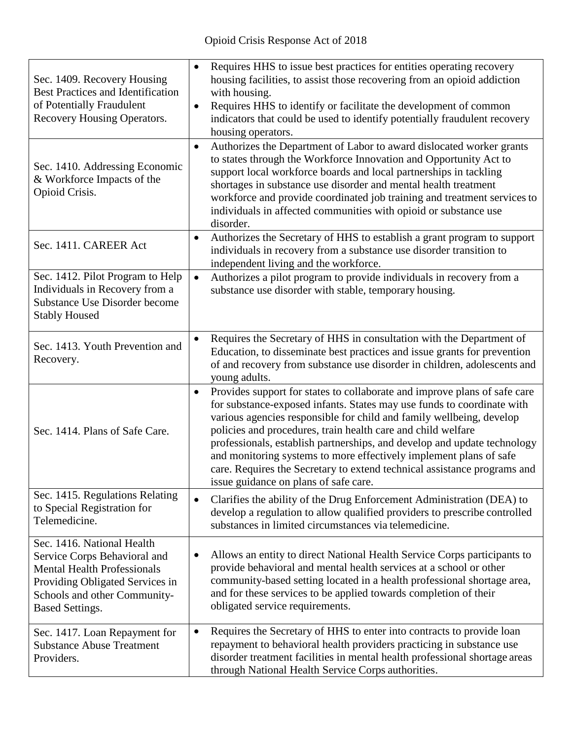| Sec. 1409. Recovery Housing<br><b>Best Practices and Identification</b><br>of Potentially Fraudulent<br>Recovery Housing Operators.                                                           | Requires HHS to issue best practices for entities operating recovery<br>$\bullet$<br>housing facilities, to assist those recovering from an opioid addiction<br>with housing.<br>Requires HHS to identify or facilitate the development of common<br>$\bullet$<br>indicators that could be used to identify potentially fraudulent recovery<br>housing operators.                                                                                                                                                                                                               |
|-----------------------------------------------------------------------------------------------------------------------------------------------------------------------------------------------|---------------------------------------------------------------------------------------------------------------------------------------------------------------------------------------------------------------------------------------------------------------------------------------------------------------------------------------------------------------------------------------------------------------------------------------------------------------------------------------------------------------------------------------------------------------------------------|
| Sec. 1410. Addressing Economic<br>& Workforce Impacts of the<br>Opioid Crisis.                                                                                                                | Authorizes the Department of Labor to award dislocated worker grants<br>$\bullet$<br>to states through the Workforce Innovation and Opportunity Act to<br>support local workforce boards and local partnerships in tackling<br>shortages in substance use disorder and mental health treatment<br>workforce and provide coordinated job training and treatment services to<br>individuals in affected communities with opioid or substance use<br>disorder.                                                                                                                     |
| Sec. 1411. CAREER Act                                                                                                                                                                         | Authorizes the Secretary of HHS to establish a grant program to support<br>$\bullet$<br>individuals in recovery from a substance use disorder transition to<br>independent living and the workforce.                                                                                                                                                                                                                                                                                                                                                                            |
| Sec. 1412. Pilot Program to Help<br>Individuals in Recovery from a<br><b>Substance Use Disorder become</b><br><b>Stably Housed</b>                                                            | Authorizes a pilot program to provide individuals in recovery from a<br>$\bullet$<br>substance use disorder with stable, temporary housing.                                                                                                                                                                                                                                                                                                                                                                                                                                     |
| Sec. 1413. Youth Prevention and<br>Recovery.                                                                                                                                                  | Requires the Secretary of HHS in consultation with the Department of<br>$\bullet$<br>Education, to disseminate best practices and issue grants for prevention<br>of and recovery from substance use disorder in children, adolescents and<br>young adults.                                                                                                                                                                                                                                                                                                                      |
| Sec. 1414. Plans of Safe Care.                                                                                                                                                                | Provides support for states to collaborate and improve plans of safe care<br>$\bullet$<br>for substance-exposed infants. States may use funds to coordinate with<br>various agencies responsible for child and family wellbeing, develop<br>policies and procedures, train health care and child welfare<br>professionals, establish partnerships, and develop and update technology<br>and monitoring systems to more effectively implement plans of safe<br>care. Requires the Secretary to extend technical assistance programs and<br>issue guidance on plans of safe care. |
| Sec. 1415. Regulations Relating<br>to Special Registration for<br>Telemedicine.                                                                                                               | Clarifies the ability of the Drug Enforcement Administration (DEA) to<br>$\bullet$<br>develop a regulation to allow qualified providers to prescribe controlled<br>substances in limited circumstances via telemedicine.                                                                                                                                                                                                                                                                                                                                                        |
| Sec. 1416. National Health<br>Service Corps Behavioral and<br><b>Mental Health Professionals</b><br>Providing Obligated Services in<br>Schools and other Community-<br><b>Based Settings.</b> | Allows an entity to direct National Health Service Corps participants to<br>$\bullet$<br>provide behavioral and mental health services at a school or other<br>community-based setting located in a health professional shortage area,<br>and for these services to be applied towards completion of their<br>obligated service requirements.                                                                                                                                                                                                                                   |
| Sec. 1417. Loan Repayment for<br><b>Substance Abuse Treatment</b><br>Providers.                                                                                                               | Requires the Secretary of HHS to enter into contracts to provide loan<br>$\bullet$<br>repayment to behavioral health providers practicing in substance use<br>disorder treatment facilities in mental health professional shortage areas<br>through National Health Service Corps authorities.                                                                                                                                                                                                                                                                                  |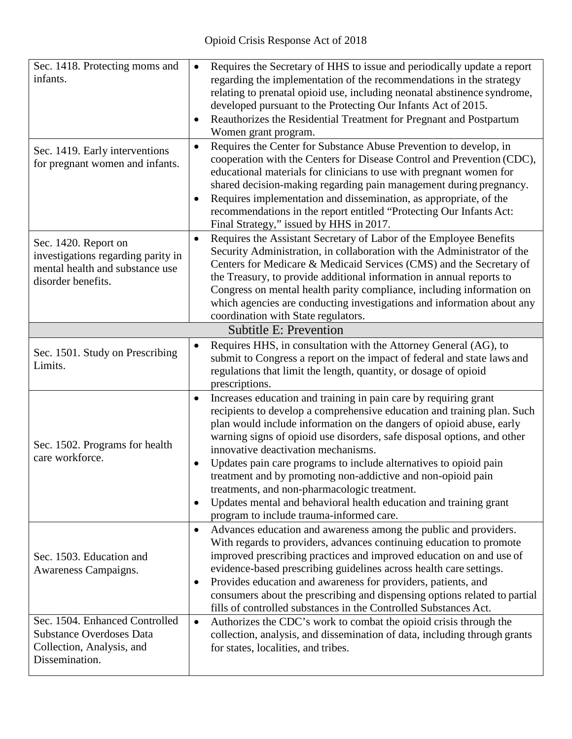| Sec. 1418. Protecting moms and<br>infants.<br>Sec. 1419. Early interventions<br>for pregnant women and infants.       | Requires the Secretary of HHS to issue and periodically update a report<br>$\bullet$<br>regarding the implementation of the recommendations in the strategy<br>relating to prenatal opioid use, including neonatal abstinence syndrome,<br>developed pursuant to the Protecting Our Infants Act of 2015.<br>Reauthorizes the Residential Treatment for Pregnant and Postpartum<br>٠<br>Women grant program.<br>Requires the Center for Substance Abuse Prevention to develop, in<br>$\bullet$<br>cooperation with the Centers for Disease Control and Prevention (CDC),<br>educational materials for clinicians to use with pregnant women for<br>shared decision-making regarding pain management during pregnancy.<br>Requires implementation and dissemination, as appropriate, of the<br>$\bullet$<br>recommendations in the report entitled "Protecting Our Infants Act:<br>Final Strategy," issued by HHS in 2017. |
|-----------------------------------------------------------------------------------------------------------------------|--------------------------------------------------------------------------------------------------------------------------------------------------------------------------------------------------------------------------------------------------------------------------------------------------------------------------------------------------------------------------------------------------------------------------------------------------------------------------------------------------------------------------------------------------------------------------------------------------------------------------------------------------------------------------------------------------------------------------------------------------------------------------------------------------------------------------------------------------------------------------------------------------------------------------|
| Sec. 1420. Report on<br>investigations regarding parity in<br>mental health and substance use<br>disorder benefits.   | Requires the Assistant Secretary of Labor of the Employee Benefits<br>$\bullet$<br>Security Administration, in collaboration with the Administrator of the<br>Centers for Medicare & Medicaid Services (CMS) and the Secretary of<br>the Treasury, to provide additional information in annual reports to<br>Congress on mental health parity compliance, including information on<br>which agencies are conducting investigations and information about any<br>coordination with State regulators.                                                                                                                                                                                                                                                                                                                                                                                                                      |
|                                                                                                                       | <b>Subtitle E: Prevention</b>                                                                                                                                                                                                                                                                                                                                                                                                                                                                                                                                                                                                                                                                                                                                                                                                                                                                                            |
| Sec. 1501. Study on Prescribing<br>Limits.                                                                            | Requires HHS, in consultation with the Attorney General (AG), to<br>$\bullet$<br>submit to Congress a report on the impact of federal and state laws and<br>regulations that limit the length, quantity, or dosage of opioid<br>prescriptions.                                                                                                                                                                                                                                                                                                                                                                                                                                                                                                                                                                                                                                                                           |
| Sec. 1502. Programs for health<br>care workforce.                                                                     | Increases education and training in pain care by requiring grant<br>$\bullet$<br>recipients to develop a comprehensive education and training plan. Such<br>plan would include information on the dangers of opioid abuse, early<br>warning signs of opioid use disorders, safe disposal options, and other<br>innovative deactivation mechanisms.<br>Updates pain care programs to include alternatives to opioid pain<br>$\bullet$<br>treatment and by promoting non-addictive and non-opioid pain<br>treatments, and non-pharmacologic treatment.<br>Updates mental and behavioral health education and training grant<br>٠<br>program to include trauma-informed care.                                                                                                                                                                                                                                               |
| Sec. 1503. Education and<br>Awareness Campaigns.<br>Sec. 1504. Enhanced Controlled<br><b>Substance Overdoses Data</b> | Advances education and awareness among the public and providers.<br>$\bullet$<br>With regards to providers, advances continuing education to promote<br>improved prescribing practices and improved education on and use of<br>evidence-based prescribing guidelines across health care settings.<br>Provides education and awareness for providers, patients, and<br>$\bullet$<br>consumers about the prescribing and dispensing options related to partial<br>fills of controlled substances in the Controlled Substances Act.<br>Authorizes the CDC's work to combat the opioid crisis through the<br>$\bullet$<br>collection, analysis, and dissemination of data, including through grants                                                                                                                                                                                                                          |
| Collection, Analysis, and<br>Dissemination.                                                                           | for states, localities, and tribes.                                                                                                                                                                                                                                                                                                                                                                                                                                                                                                                                                                                                                                                                                                                                                                                                                                                                                      |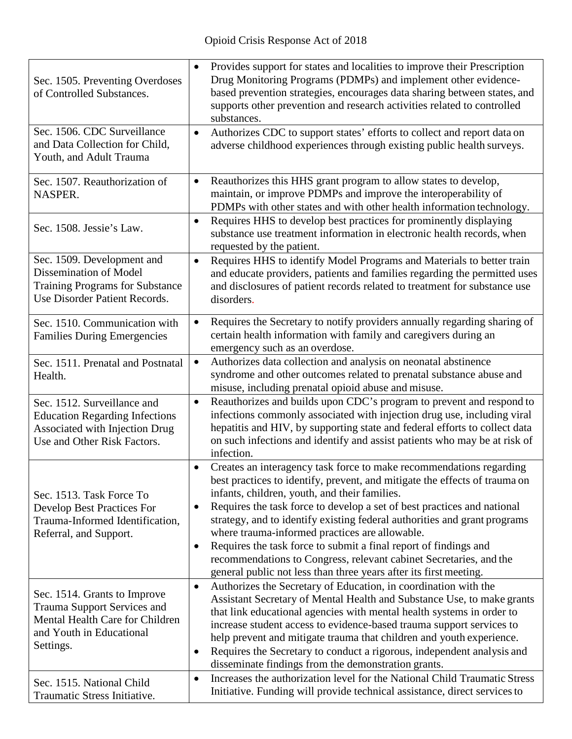| Sec. 1505. Preventing Overdoses<br>of Controlled Substances.                                                                                   | Provides support for states and localities to improve their Prescription<br>$\bullet$<br>Drug Monitoring Programs (PDMPs) and implement other evidence-<br>based prevention strategies, encourages data sharing between states, and<br>supports other prevention and research activities related to controlled<br>substances.                                                                                                                                                                                                                                                                                                                              |
|------------------------------------------------------------------------------------------------------------------------------------------------|------------------------------------------------------------------------------------------------------------------------------------------------------------------------------------------------------------------------------------------------------------------------------------------------------------------------------------------------------------------------------------------------------------------------------------------------------------------------------------------------------------------------------------------------------------------------------------------------------------------------------------------------------------|
| Sec. 1506. CDC Surveillance<br>and Data Collection for Child,<br>Youth, and Adult Trauma                                                       | Authorizes CDC to support states' efforts to collect and report data on<br>$\bullet$<br>adverse childhood experiences through existing public health surveys.                                                                                                                                                                                                                                                                                                                                                                                                                                                                                              |
| Sec. 1507. Reauthorization of<br>NASPER.                                                                                                       | Reauthorizes this HHS grant program to allow states to develop,<br>$\bullet$<br>maintain, or improve PDMPs and improve the interoperability of<br>PDMPs with other states and with other health information technology.                                                                                                                                                                                                                                                                                                                                                                                                                                    |
| Sec. 1508. Jessie's Law.                                                                                                                       | Requires HHS to develop best practices for prominently displaying<br>$\bullet$<br>substance use treatment information in electronic health records, when<br>requested by the patient.                                                                                                                                                                                                                                                                                                                                                                                                                                                                      |
| Sec. 1509. Development and<br><b>Dissemination of Model</b><br><b>Training Programs for Substance</b><br>Use Disorder Patient Records.         | Requires HHS to identify Model Programs and Materials to better train<br>$\bullet$<br>and educate providers, patients and families regarding the permitted uses<br>and disclosures of patient records related to treatment for substance use<br>disorders.                                                                                                                                                                                                                                                                                                                                                                                                 |
| Sec. 1510. Communication with<br><b>Families During Emergencies</b>                                                                            | Requires the Secretary to notify providers annually regarding sharing of<br>$\bullet$<br>certain health information with family and caregivers during an<br>emergency such as an overdose.                                                                                                                                                                                                                                                                                                                                                                                                                                                                 |
| Sec. 1511. Prenatal and Postnatal<br>Health.                                                                                                   | Authorizes data collection and analysis on neonatal abstinence<br>$\bullet$<br>syndrome and other outcomes related to prenatal substance abuse and<br>misuse, including prenatal opioid abuse and misuse.                                                                                                                                                                                                                                                                                                                                                                                                                                                  |
| Sec. 1512. Surveillance and<br><b>Education Regarding Infections</b><br>Associated with Injection Drug<br>Use and Other Risk Factors.          | Reauthorizes and builds upon CDC's program to prevent and respond to<br>$\bullet$<br>infections commonly associated with injection drug use, including viral<br>hepatitis and HIV, by supporting state and federal efforts to collect data<br>on such infections and identify and assist patients who may be at risk of<br>infection.                                                                                                                                                                                                                                                                                                                      |
| Sec. 1513. Task Force To<br><b>Develop Best Practices For</b><br>Trauma-Informed Identification,<br>Referral, and Support.                     | Creates an interagency task force to make recommendations regarding<br>$\bullet$<br>best practices to identify, prevent, and mitigate the effects of trauma on<br>infants, children, youth, and their families.<br>Requires the task force to develop a set of best practices and national<br>$\bullet$<br>strategy, and to identify existing federal authorities and grant programs<br>where trauma-informed practices are allowable.<br>Requires the task force to submit a final report of findings and<br>٠<br>recommendations to Congress, relevant cabinet Secretaries, and the<br>general public not less than three years after its first meeting. |
| Sec. 1514. Grants to Improve<br><b>Trauma Support Services and</b><br>Mental Health Care for Children<br>and Youth in Educational<br>Settings. | Authorizes the Secretary of Education, in coordination with the<br>$\bullet$<br>Assistant Secretary of Mental Health and Substance Use, to make grants<br>that link educational agencies with mental health systems in order to<br>increase student access to evidence-based trauma support services to<br>help prevent and mitigate trauma that children and youth experience.<br>Requires the Secretary to conduct a rigorous, independent analysis and<br>$\bullet$<br>disseminate findings from the demonstration grants.                                                                                                                              |
| Sec. 1515. National Child<br>Traumatic Stress Initiative.                                                                                      | Increases the authorization level for the National Child Traumatic Stress<br>$\bullet$<br>Initiative. Funding will provide technical assistance, direct services to                                                                                                                                                                                                                                                                                                                                                                                                                                                                                        |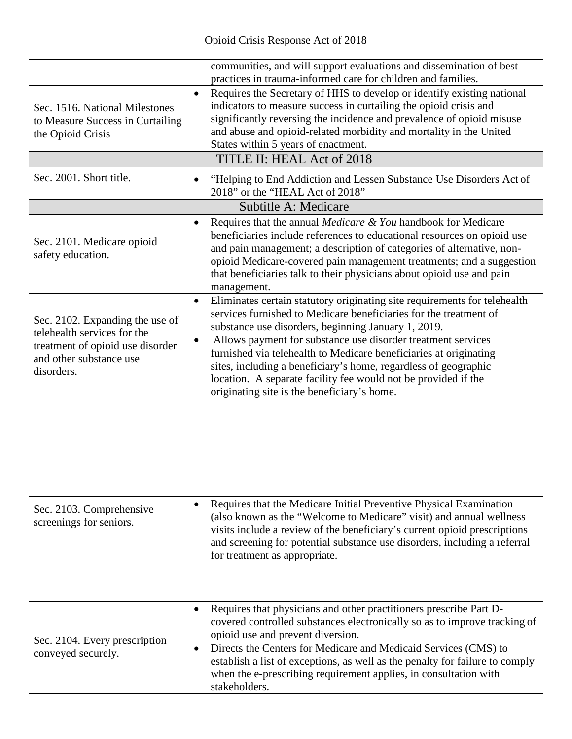|                                                                                                                                             | communities, and will support evaluations and dissemination of best<br>practices in trauma-informed care for children and families.                                                                                                                                                                                                                                                                                                                                                                                                                      |
|---------------------------------------------------------------------------------------------------------------------------------------------|----------------------------------------------------------------------------------------------------------------------------------------------------------------------------------------------------------------------------------------------------------------------------------------------------------------------------------------------------------------------------------------------------------------------------------------------------------------------------------------------------------------------------------------------------------|
| Sec. 1516. National Milestones<br>to Measure Success in Curtailing<br>the Opioid Crisis                                                     | Requires the Secretary of HHS to develop or identify existing national<br>$\bullet$<br>indicators to measure success in curtailing the opioid crisis and<br>significantly reversing the incidence and prevalence of opioid misuse<br>and abuse and opioid-related morbidity and mortality in the United<br>States within 5 years of enactment.<br>TITLE II: HEAL Act of 2018                                                                                                                                                                             |
| Sec. 2001. Short title.                                                                                                                     | "Helping to End Addiction and Lessen Substance Use Disorders Act of<br>$\bullet$<br>2018" or the "HEAL Act of 2018"                                                                                                                                                                                                                                                                                                                                                                                                                                      |
|                                                                                                                                             | Subtitle A: Medicare                                                                                                                                                                                                                                                                                                                                                                                                                                                                                                                                     |
| Sec. 2101. Medicare opioid<br>safety education.                                                                                             | Requires that the annual <i>Medicare &amp; You</i> handbook for Medicare<br>$\bullet$<br>beneficiaries include references to educational resources on opioid use<br>and pain management; a description of categories of alternative, non-<br>opioid Medicare-covered pain management treatments; and a suggestion<br>that beneficiaries talk to their physicians about opioid use and pain<br>management.                                                                                                                                                |
| Sec. 2102. Expanding the use of<br>telehealth services for the<br>treatment of opioid use disorder<br>and other substance use<br>disorders. | Eliminates certain statutory originating site requirements for telehealth<br>$\bullet$<br>services furnished to Medicare beneficiaries for the treatment of<br>substance use disorders, beginning January 1, 2019.<br>Allows payment for substance use disorder treatment services<br>$\bullet$<br>furnished via telehealth to Medicare beneficiaries at originating<br>sites, including a beneficiary's home, regardless of geographic<br>location. A separate facility fee would not be provided if the<br>originating site is the beneficiary's home. |
| Sec. 2103. Comprehensive<br>screenings for seniors.                                                                                         | Requires that the Medicare Initial Preventive Physical Examination<br>$\bullet$<br>(also known as the "Welcome to Medicare" visit) and annual wellness<br>visits include a review of the beneficiary's current opioid prescriptions<br>and screening for potential substance use disorders, including a referral<br>for treatment as appropriate.                                                                                                                                                                                                        |
| Sec. 2104. Every prescription<br>conveyed securely.                                                                                         | Requires that physicians and other practitioners prescribe Part D-<br>$\bullet$<br>covered controlled substances electronically so as to improve tracking of<br>opioid use and prevent diversion.<br>Directs the Centers for Medicare and Medicaid Services (CMS) to<br>$\bullet$<br>establish a list of exceptions, as well as the penalty for failure to comply<br>when the e-prescribing requirement applies, in consultation with<br>stakeholders.                                                                                                   |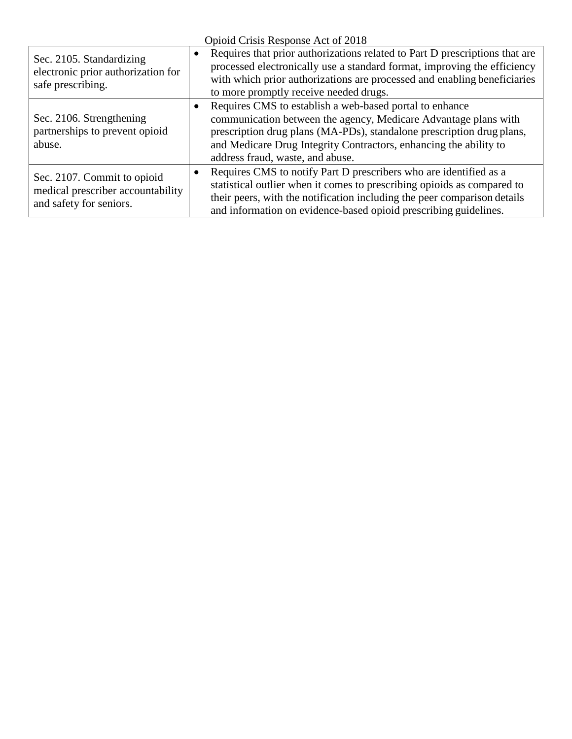| Opioid Crisis Response Act of 2018                                                          |                                                                                                                                                                                                                                                                                                                           |  |
|---------------------------------------------------------------------------------------------|---------------------------------------------------------------------------------------------------------------------------------------------------------------------------------------------------------------------------------------------------------------------------------------------------------------------------|--|
| Sec. 2105. Standardizing<br>electronic prior authorization for<br>safe prescribing.         | Requires that prior authorizations related to Part D prescriptions that are<br>$\bullet$<br>processed electronically use a standard format, improving the efficiency<br>with which prior authorizations are processed and enabling beneficiaries<br>to more promptly receive needed drugs.                                |  |
| Sec. 2106. Strengthening<br>partnerships to prevent opioid<br>abuse.                        | Requires CMS to establish a web-based portal to enhance<br>$\bullet$<br>communication between the agency, Medicare Advantage plans with<br>prescription drug plans (MA-PDs), standalone prescription drug plans,<br>and Medicare Drug Integrity Contractors, enhancing the ability to<br>address fraud, waste, and abuse. |  |
| Sec. 2107. Commit to opioid<br>medical prescriber accountability<br>and safety for seniors. | Requires CMS to notify Part D prescribers who are identified as a<br>$\bullet$<br>statistical outlier when it comes to prescribing opioids as compared to<br>their peers, with the notification including the peer comparison details<br>and information on evidence-based opioid prescribing guidelines.                 |  |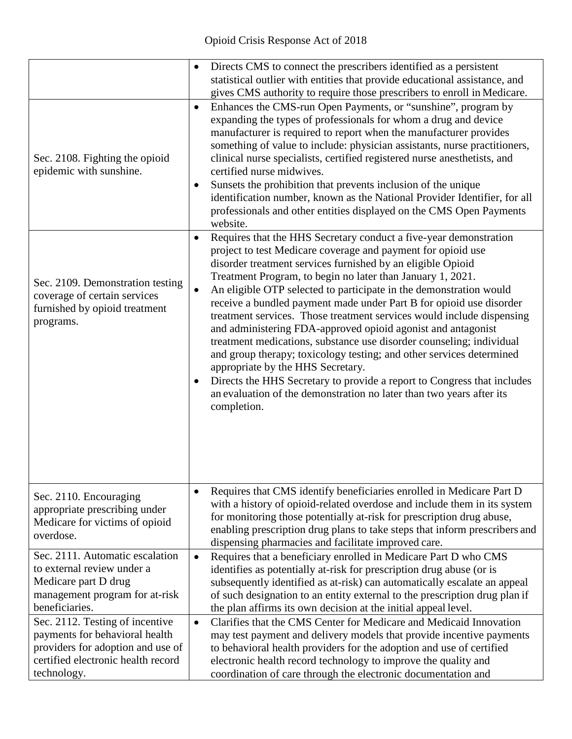|                                                                                                                                                             | Directs CMS to connect the prescribers identified as a persistent<br>statistical outlier with entities that provide educational assistance, and<br>gives CMS authority to require those prescribers to enroll in Medicare.                                                                                                                                                                                                                                                                                                                                                                                                                                                                                                                                                                                                                                                                                                            |
|-------------------------------------------------------------------------------------------------------------------------------------------------------------|---------------------------------------------------------------------------------------------------------------------------------------------------------------------------------------------------------------------------------------------------------------------------------------------------------------------------------------------------------------------------------------------------------------------------------------------------------------------------------------------------------------------------------------------------------------------------------------------------------------------------------------------------------------------------------------------------------------------------------------------------------------------------------------------------------------------------------------------------------------------------------------------------------------------------------------|
| Sec. 2108. Fighting the opioid<br>epidemic with sunshine.                                                                                                   | Enhances the CMS-run Open Payments, or "sunshine", program by<br>$\bullet$<br>expanding the types of professionals for whom a drug and device<br>manufacturer is required to report when the manufacturer provides<br>something of value to include: physician assistants, nurse practitioners,<br>clinical nurse specialists, certified registered nurse anesthetists, and<br>certified nurse midwives.<br>Sunsets the prohibition that prevents inclusion of the unique<br>identification number, known as the National Provider Identifier, for all<br>professionals and other entities displayed on the CMS Open Payments<br>website.                                                                                                                                                                                                                                                                                             |
| Sec. 2109. Demonstration testing<br>coverage of certain services<br>furnished by opioid treatment<br>programs.                                              | Requires that the HHS Secretary conduct a five-year demonstration<br>$\bullet$<br>project to test Medicare coverage and payment for opioid use<br>disorder treatment services furnished by an eligible Opioid<br>Treatment Program, to begin no later than January 1, 2021.<br>An eligible OTP selected to participate in the demonstration would<br>$\bullet$<br>receive a bundled payment made under Part B for opioid use disorder<br>treatment services. Those treatment services would include dispensing<br>and administering FDA-approved opioid agonist and antagonist<br>treatment medications, substance use disorder counseling; individual<br>and group therapy; toxicology testing; and other services determined<br>appropriate by the HHS Secretary.<br>Directs the HHS Secretary to provide a report to Congress that includes<br>an evaluation of the demonstration no later than two years after its<br>completion. |
| Sec. 2110. Encouraging<br>appropriate prescribing under<br>Medicare for victims of opioid<br>overdose.                                                      | Requires that CMS identify beneficiaries enrolled in Medicare Part D<br>$\bullet$<br>with a history of opioid-related overdose and include them in its system<br>for monitoring those potentially at-risk for prescription drug abuse,<br>enabling prescription drug plans to take steps that inform prescribers and<br>dispensing pharmacies and facilitate improved care.                                                                                                                                                                                                                                                                                                                                                                                                                                                                                                                                                           |
| Sec. 2111. Automatic escalation<br>to external review under a<br>Medicare part D drug<br>management program for at-risk<br>beneficiaries.                   | Requires that a beneficiary enrolled in Medicare Part D who CMS<br>$\bullet$<br>identifies as potentially at-risk for prescription drug abuse (or is<br>subsequently identified as at-risk) can automatically escalate an appeal<br>of such designation to an entity external to the prescription drug plan if<br>the plan affirms its own decision at the initial appeal level.                                                                                                                                                                                                                                                                                                                                                                                                                                                                                                                                                      |
| Sec. 2112. Testing of incentive<br>payments for behavioral health<br>providers for adoption and use of<br>certified electronic health record<br>technology. | Clarifies that the CMS Center for Medicare and Medicaid Innovation<br>$\bullet$<br>may test payment and delivery models that provide incentive payments<br>to behavioral health providers for the adoption and use of certified<br>electronic health record technology to improve the quality and<br>coordination of care through the electronic documentation and                                                                                                                                                                                                                                                                                                                                                                                                                                                                                                                                                                    |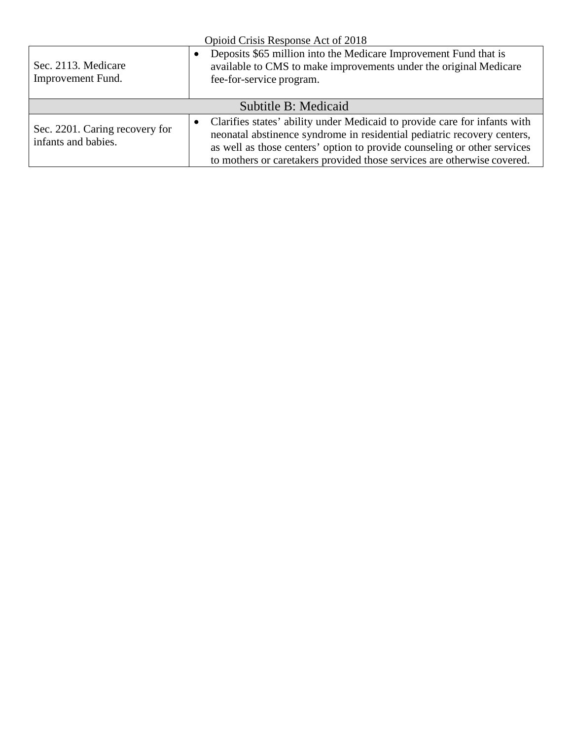| Opioid Crisis Response Act of 2018                    |                                                                                                                                                                                                                                                                                                             |  |
|-------------------------------------------------------|-------------------------------------------------------------------------------------------------------------------------------------------------------------------------------------------------------------------------------------------------------------------------------------------------------------|--|
| Sec. 2113. Medicare<br>Improvement Fund.              | Deposits \$65 million into the Medicare Improvement Fund that is<br>$\bullet$<br>available to CMS to make improvements under the original Medicare<br>fee-for-service program.                                                                                                                              |  |
| Subtitle B: Medicaid                                  |                                                                                                                                                                                                                                                                                                             |  |
| Sec. 2201. Caring recovery for<br>infants and babies. | Clarifies states' ability under Medicaid to provide care for infants with<br>neonatal abstinence syndrome in residential pediatric recovery centers,<br>as well as those centers' option to provide counseling or other services<br>to mothers or caretakers provided those services are otherwise covered. |  |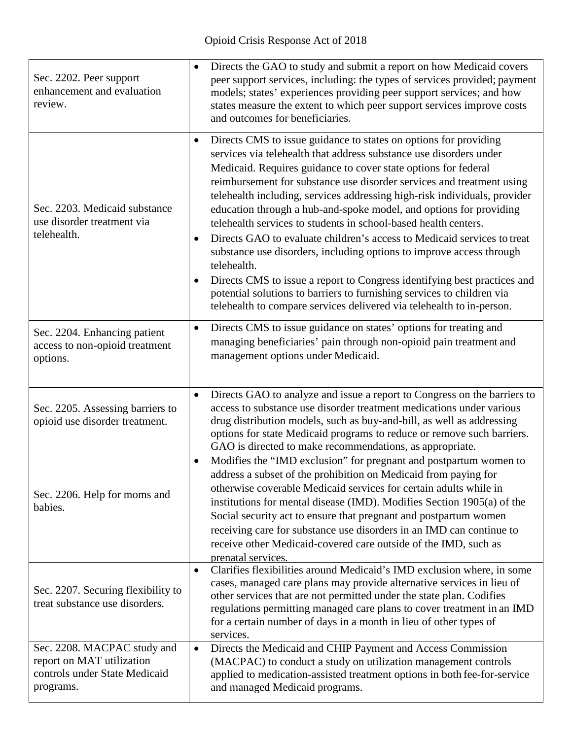| Sec. 2202. Peer support<br>enhancement and evaluation<br>review.                                       | Directs the GAO to study and submit a report on how Medicaid covers<br>$\bullet$<br>peer support services, including: the types of services provided; payment<br>models; states' experiences providing peer support services; and how<br>states measure the extent to which peer support services improve costs<br>and outcomes for beneficiaries.                                                                                                                                                                                                                                                                                                                                                                                                                                                                                                                                                                                              |
|--------------------------------------------------------------------------------------------------------|-------------------------------------------------------------------------------------------------------------------------------------------------------------------------------------------------------------------------------------------------------------------------------------------------------------------------------------------------------------------------------------------------------------------------------------------------------------------------------------------------------------------------------------------------------------------------------------------------------------------------------------------------------------------------------------------------------------------------------------------------------------------------------------------------------------------------------------------------------------------------------------------------------------------------------------------------|
| Sec. 2203. Medicaid substance<br>use disorder treatment via<br>telehealth.                             | Directs CMS to issue guidance to states on options for providing<br>$\bullet$<br>services via telehealth that address substance use disorders under<br>Medicaid. Requires guidance to cover state options for federal<br>reimbursement for substance use disorder services and treatment using<br>telehealth including, services addressing high-risk individuals, provider<br>education through a hub-and-spoke model, and options for providing<br>telehealth services to students in school-based health centers.<br>Directs GAO to evaluate children's access to Medicaid services to treat<br>$\bullet$<br>substance use disorders, including options to improve access through<br>telehealth.<br>Directs CMS to issue a report to Congress identifying best practices and<br>$\bullet$<br>potential solutions to barriers to furnishing services to children via<br>telehealth to compare services delivered via telehealth to in-person. |
| Sec. 2204. Enhancing patient<br>access to non-opioid treatment<br>options.                             | Directs CMS to issue guidance on states' options for treating and<br>$\bullet$<br>managing beneficiaries' pain through non-opioid pain treatment and<br>management options under Medicaid.                                                                                                                                                                                                                                                                                                                                                                                                                                                                                                                                                                                                                                                                                                                                                      |
| Sec. 2205. Assessing barriers to<br>opioid use disorder treatment.                                     | Directs GAO to analyze and issue a report to Congress on the barriers to<br>$\bullet$<br>access to substance use disorder treatment medications under various<br>drug distribution models, such as buy-and-bill, as well as addressing<br>options for state Medicaid programs to reduce or remove such barriers.<br>GAO is directed to make recommendations, as appropriate.                                                                                                                                                                                                                                                                                                                                                                                                                                                                                                                                                                    |
| Sec. 2206. Help for moms and<br>babies.                                                                | Modifies the "IMD exclusion" for pregnant and postpartum women to<br>$\bullet$<br>address a subset of the prohibition on Medicaid from paying for<br>otherwise coverable Medicaid services for certain adults while in<br>institutions for mental disease (IMD). Modifies Section 1905(a) of the<br>Social security act to ensure that pregnant and postpartum women<br>receiving care for substance use disorders in an IMD can continue to<br>receive other Medicaid-covered care outside of the IMD, such as<br>prenatal services.                                                                                                                                                                                                                                                                                                                                                                                                           |
| Sec. 2207. Securing flexibility to<br>treat substance use disorders.                                   | Clarifies flexibilities around Medicaid's IMD exclusion where, in some<br>$\bullet$<br>cases, managed care plans may provide alternative services in lieu of<br>other services that are not permitted under the state plan. Codifies<br>regulations permitting managed care plans to cover treatment in an IMD<br>for a certain number of days in a month in lieu of other types of<br>services.                                                                                                                                                                                                                                                                                                                                                                                                                                                                                                                                                |
| Sec. 2208. MACPAC study and<br>report on MAT utilization<br>controls under State Medicaid<br>programs. | Directs the Medicaid and CHIP Payment and Access Commission<br>$\bullet$<br>(MACPAC) to conduct a study on utilization management controls<br>applied to medication-assisted treatment options in both fee-for-service<br>and managed Medicaid programs.                                                                                                                                                                                                                                                                                                                                                                                                                                                                                                                                                                                                                                                                                        |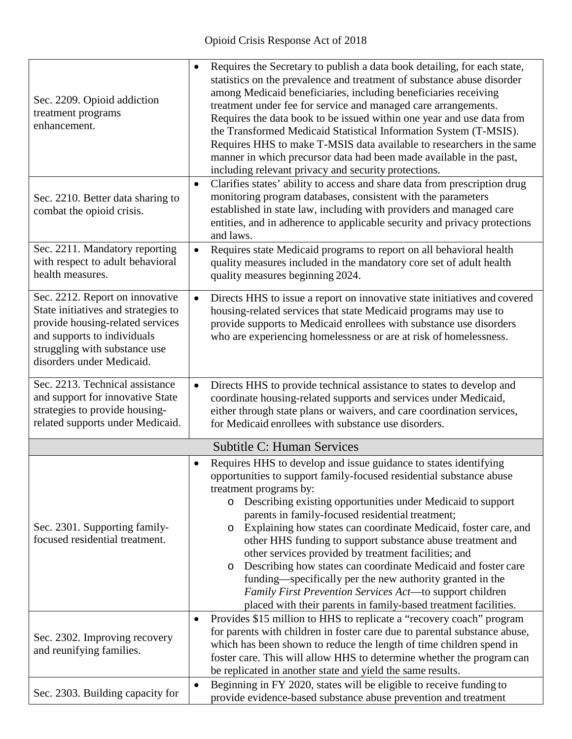| Sec. 2209. Opioid addiction<br>treatment programs<br>enhancement.                                                                                                                                       | Requires the Secretary to publish a data book detailing, for each state,<br>$\bullet$<br>statistics on the prevalence and treatment of substance abuse disorder<br>among Medicaid beneficiaries, including beneficiaries receiving<br>treatment under fee for service and managed care arrangements.<br>Requires the data book to be issued within one year and use data from<br>the Transformed Medicaid Statistical Information System (T-MSIS).<br>Requires HHS to make T-MSIS data available to researchers in the same<br>manner in which precursor data had been made available in the past,<br>including relevant privacy and security protections.                                                                                                                               |
|---------------------------------------------------------------------------------------------------------------------------------------------------------------------------------------------------------|------------------------------------------------------------------------------------------------------------------------------------------------------------------------------------------------------------------------------------------------------------------------------------------------------------------------------------------------------------------------------------------------------------------------------------------------------------------------------------------------------------------------------------------------------------------------------------------------------------------------------------------------------------------------------------------------------------------------------------------------------------------------------------------|
| Sec. 2210. Better data sharing to<br>combat the opioid crisis.                                                                                                                                          | Clarifies states' ability to access and share data from prescription drug<br>$\bullet$<br>monitoring program databases, consistent with the parameters<br>established in state law, including with providers and managed care<br>entities, and in adherence to applicable security and privacy protections<br>and laws.                                                                                                                                                                                                                                                                                                                                                                                                                                                                  |
| Sec. 2211. Mandatory reporting<br>with respect to adult behavioral<br>health measures.                                                                                                                  | Requires state Medicaid programs to report on all behavioral health<br>$\bullet$<br>quality measures included in the mandatory core set of adult health<br>quality measures beginning 2024.                                                                                                                                                                                                                                                                                                                                                                                                                                                                                                                                                                                              |
| Sec. 2212. Report on innovative<br>State initiatives and strategies to<br>provide housing-related services<br>and supports to individuals<br>struggling with substance use<br>disorders under Medicaid. | Directs HHS to issue a report on innovative state initiatives and covered<br>$\bullet$<br>housing-related services that state Medicaid programs may use to<br>provide supports to Medicaid enrollees with substance use disorders<br>who are experiencing homelessness or are at risk of homelessness.                                                                                                                                                                                                                                                                                                                                                                                                                                                                                   |
| Sec. 2213. Technical assistance<br>and support for innovative State<br>strategies to provide housing-<br>related supports under Medicaid.                                                               | Directs HHS to provide technical assistance to states to develop and<br>$\bullet$<br>coordinate housing-related supports and services under Medicaid,<br>either through state plans or waivers, and care coordination services,<br>for Medicaid enrollees with substance use disorders.                                                                                                                                                                                                                                                                                                                                                                                                                                                                                                  |
|                                                                                                                                                                                                         | <b>Subtitle C: Human Services</b>                                                                                                                                                                                                                                                                                                                                                                                                                                                                                                                                                                                                                                                                                                                                                        |
| Sec. 2301. Supporting family-<br>focused residential treatment.                                                                                                                                         | Requires HHS to develop and issue guidance to states identifying<br>$\bullet$<br>opportunities to support family-focused residential substance abuse<br>treatment programs by:<br>Describing existing opportunities under Medicaid to support<br>$\circ$<br>parents in family-focused residential treatment;<br>Explaining how states can coordinate Medicaid, foster care, and<br>$\circ$<br>other HHS funding to support substance abuse treatment and<br>other services provided by treatment facilities; and<br>Describing how states can coordinate Medicaid and foster care<br>$\circ$<br>funding—specifically per the new authority granted in the<br>Family First Prevention Services Act-to support children<br>placed with their parents in family-based treatment facilities. |
| Sec. 2302. Improving recovery<br>and reunifying families.                                                                                                                                               | Provides \$15 million to HHS to replicate a "recovery coach" program<br>$\bullet$<br>for parents with children in foster care due to parental substance abuse,<br>which has been shown to reduce the length of time children spend in<br>foster care. This will allow HHS to determine whether the program can<br>be replicated in another state and yield the same results.                                                                                                                                                                                                                                                                                                                                                                                                             |
| Sec. 2303. Building capacity for                                                                                                                                                                        | Beginning in FY 2020, states will be eligible to receive funding to<br>$\bullet$<br>provide evidence-based substance abuse prevention and treatment                                                                                                                                                                                                                                                                                                                                                                                                                                                                                                                                                                                                                                      |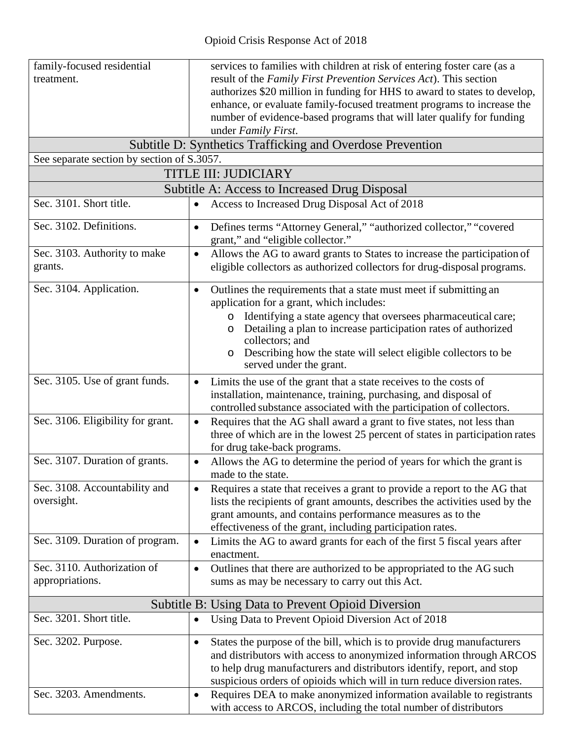| family-focused residential                    | services to families with children at risk of entering foster care (as a                                                                                          |  |  |  |
|-----------------------------------------------|-------------------------------------------------------------------------------------------------------------------------------------------------------------------|--|--|--|
| treatment.                                    | result of the Family First Prevention Services Act). This section                                                                                                 |  |  |  |
|                                               | authorizes \$20 million in funding for HHS to award to states to develop,                                                                                         |  |  |  |
|                                               | enhance, or evaluate family-focused treatment programs to increase the                                                                                            |  |  |  |
|                                               | number of evidence-based programs that will later qualify for funding                                                                                             |  |  |  |
|                                               | under Family First.                                                                                                                                               |  |  |  |
|                                               | Subtitle D: Synthetics Trafficking and Overdose Prevention                                                                                                        |  |  |  |
| See separate section by section of S.3057.    |                                                                                                                                                                   |  |  |  |
|                                               | <b>TITLE III: JUDICIARY</b>                                                                                                                                       |  |  |  |
| Subtitle A: Access to Increased Drug Disposal |                                                                                                                                                                   |  |  |  |
| Sec. 3101. Short title.                       | Access to Increased Drug Disposal Act of 2018<br>$\bullet$                                                                                                        |  |  |  |
| Sec. 3102. Definitions.                       | Defines terms "Attorney General," "authorized collector," "covered<br>$\bullet$<br>grant," and "eligible collector."                                              |  |  |  |
| Sec. 3103. Authority to make<br>grants.       | Allows the AG to award grants to States to increase the participation of<br>$\bullet$<br>eligible collectors as authorized collectors for drug-disposal programs. |  |  |  |
| Sec. 3104. Application.                       | Outlines the requirements that a state must meet if submitting an<br>$\bullet$<br>application for a grant, which includes:                                        |  |  |  |
|                                               | Identifying a state agency that oversees pharmaceutical care;<br>$\circ$<br>Detailing a plan to increase participation rates of authorized<br>collectors; and     |  |  |  |
|                                               | Describing how the state will select eligible collectors to be<br>$\circ$<br>served under the grant.                                                              |  |  |  |
| Sec. 3105. Use of grant funds.                | Limits the use of the grant that a state receives to the costs of<br>$\bullet$                                                                                    |  |  |  |
|                                               | installation, maintenance, training, purchasing, and disposal of                                                                                                  |  |  |  |
|                                               | controlled substance associated with the participation of collectors.                                                                                             |  |  |  |
| Sec. 3106. Eligibility for grant.             | Requires that the AG shall award a grant to five states, not less than<br>$\bullet$                                                                               |  |  |  |
|                                               | three of which are in the lowest 25 percent of states in participation rates                                                                                      |  |  |  |
|                                               | for drug take-back programs.                                                                                                                                      |  |  |  |
| Sec. 3107. Duration of grants.                | Allows the AG to determine the period of years for which the grant is<br>$\bullet$<br>made to the state                                                           |  |  |  |
| Sec. 3108. Accountability and                 | Requires a state that receives a grant to provide a report to the AG that<br>$\bullet$                                                                            |  |  |  |
| oversight.                                    | lists the recipients of grant amounts, describes the activities used by the                                                                                       |  |  |  |
|                                               | grant amounts, and contains performance measures as to the                                                                                                        |  |  |  |
|                                               | effectiveness of the grant, including participation rates.                                                                                                        |  |  |  |
| Sec. 3109. Duration of program.               | Limits the AG to award grants for each of the first 5 fiscal years after<br>$\bullet$<br>enactment.                                                               |  |  |  |
| Sec. 3110. Authorization of                   | Outlines that there are authorized to be appropriated to the AG such<br>$\bullet$                                                                                 |  |  |  |
| appropriations.                               | sums as may be necessary to carry out this Act.                                                                                                                   |  |  |  |
|                                               | Subtitle B: Using Data to Prevent Opioid Diversion                                                                                                                |  |  |  |
| Sec. 3201. Short title.                       | Using Data to Prevent Opioid Diversion Act of 2018<br>$\bullet$                                                                                                   |  |  |  |
|                                               |                                                                                                                                                                   |  |  |  |
| Sec. 3202. Purpose.                           | States the purpose of the bill, which is to provide drug manufacturers<br>$\bullet$                                                                               |  |  |  |
|                                               | and distributors with access to anonymized information through ARCOS                                                                                              |  |  |  |
|                                               | to help drug manufacturers and distributors identify, report, and stop                                                                                            |  |  |  |
|                                               | suspicious orders of opioids which will in turn reduce diversion rates.                                                                                           |  |  |  |
| Sec. 3203. Amendments.                        | Requires DEA to make anonymized information available to registrants<br>$\bullet$<br>with access to ARCOS, including the total number of distributors             |  |  |  |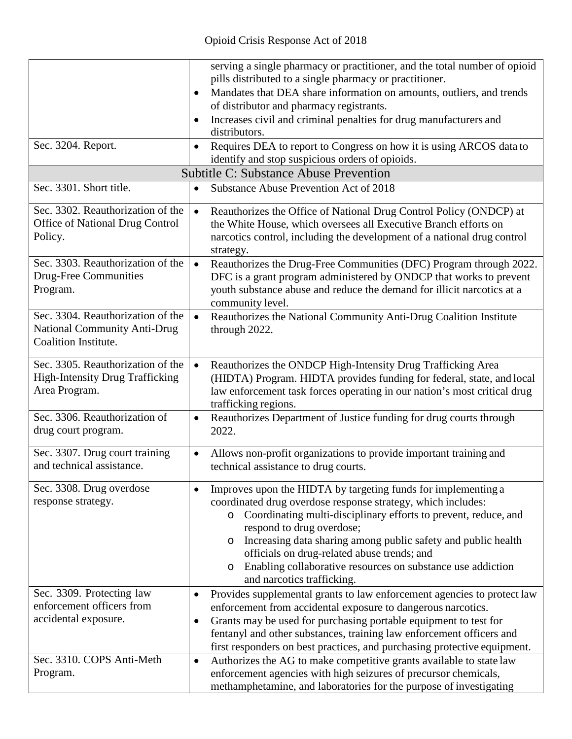| Sec. 3204. Report.                                                                               | serving a single pharmacy or practitioner, and the total number of opioid<br>pills distributed to a single pharmacy or practitioner.<br>Mandates that DEA share information on amounts, outliers, and trends<br>$\bullet$<br>of distributor and pharmacy registrants.<br>Increases civil and criminal penalties for drug manufacturers and<br>$\bullet$<br>distributors.<br>Requires DEA to report to Congress on how it is using ARCOS data to<br>$\bullet$<br>identify and stop suspicious orders of opioids. |  |  |  |
|--------------------------------------------------------------------------------------------------|-----------------------------------------------------------------------------------------------------------------------------------------------------------------------------------------------------------------------------------------------------------------------------------------------------------------------------------------------------------------------------------------------------------------------------------------------------------------------------------------------------------------|--|--|--|
| <b>Subtitle C: Substance Abuse Prevention</b>                                                    |                                                                                                                                                                                                                                                                                                                                                                                                                                                                                                                 |  |  |  |
| Sec. 3301. Short title.                                                                          | Substance Abuse Prevention Act of 2018<br>$\bullet$                                                                                                                                                                                                                                                                                                                                                                                                                                                             |  |  |  |
| Sec. 3302. Reauthorization of the<br><b>Office of National Drug Control</b><br>Policy.           | Reauthorizes the Office of National Drug Control Policy (ONDCP) at<br>$\bullet$<br>the White House, which oversees all Executive Branch efforts on<br>narcotics control, including the development of a national drug control<br>strategy.                                                                                                                                                                                                                                                                      |  |  |  |
| Sec. 3303. Reauthorization of the<br><b>Drug-Free Communities</b><br>Program.                    | Reauthorizes the Drug-Free Communities (DFC) Program through 2022.<br>$\bullet$<br>DFC is a grant program administered by ONDCP that works to prevent<br>youth substance abuse and reduce the demand for illicit narcotics at a<br>community level.                                                                                                                                                                                                                                                             |  |  |  |
| Sec. 3304. Reauthorization of the<br><b>National Community Anti-Drug</b><br>Coalition Institute. | Reauthorizes the National Community Anti-Drug Coalition Institute<br>$\bullet$<br>through 2022.                                                                                                                                                                                                                                                                                                                                                                                                                 |  |  |  |
| Sec. 3305. Reauthorization of the<br><b>High-Intensity Drug Trafficking</b><br>Area Program.     | Reauthorizes the ONDCP High-Intensity Drug Trafficking Area<br>$\bullet$<br>(HIDTA) Program. HIDTA provides funding for federal, state, and local<br>law enforcement task forces operating in our nation's most critical drug<br>trafficking regions.                                                                                                                                                                                                                                                           |  |  |  |
| Sec. 3306. Reauthorization of<br>drug court program.                                             | Reauthorizes Department of Justice funding for drug courts through<br>$\bullet$<br>2022.                                                                                                                                                                                                                                                                                                                                                                                                                        |  |  |  |
| Sec. 3307. Drug court training<br>and technical assistance.                                      | Allows non-profit organizations to provide important training and<br>$\bullet$<br>technical assistance to drug courts.                                                                                                                                                                                                                                                                                                                                                                                          |  |  |  |
| Sec. 3308. Drug overdose<br>response strategy.                                                   | Improves upon the HIDTA by targeting funds for implementing a<br>٠<br>coordinated drug overdose response strategy, which includes:<br>Coordinating multi-disciplinary efforts to prevent, reduce, and<br>$\circ$<br>respond to drug overdose;<br>Increasing data sharing among public safety and public health<br>officials on drug-related abuse trends; and<br>Enabling collaborative resources on substance use addiction<br>O<br>and narcotics trafficking.                                                 |  |  |  |
| Sec. 3309. Protecting law<br>enforcement officers from<br>accidental exposure.                   | Provides supplemental grants to law enforcement agencies to protect law<br>$\bullet$<br>enforcement from accidental exposure to dangerous narcotics.<br>Grants may be used for purchasing portable equipment to test for<br>٠<br>fentanyl and other substances, training law enforcement officers and<br>first responders on best practices, and purchasing protective equipment.                                                                                                                               |  |  |  |
| Sec. 3310. COPS Anti-Meth<br>Program.                                                            | Authorizes the AG to make competitive grants available to state law<br>$\bullet$<br>enforcement agencies with high seizures of precursor chemicals,<br>methamphetamine, and laboratories for the purpose of investigating                                                                                                                                                                                                                                                                                       |  |  |  |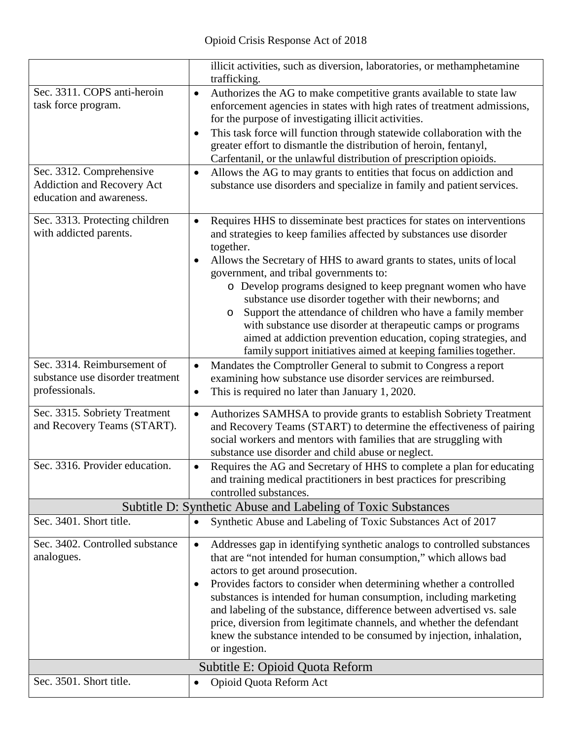|                                                                                                                                          | illicit activities, such as diversion, laboratories, or methamphetamine<br>trafficking.                                                                                                                                                                                                                                                                                                                                                                                                                                                                                                                                                                                                              |
|------------------------------------------------------------------------------------------------------------------------------------------|------------------------------------------------------------------------------------------------------------------------------------------------------------------------------------------------------------------------------------------------------------------------------------------------------------------------------------------------------------------------------------------------------------------------------------------------------------------------------------------------------------------------------------------------------------------------------------------------------------------------------------------------------------------------------------------------------|
| Sec. 3311. COPS anti-heroin<br>task force program.<br>Sec. 3312. Comprehensive<br>Addiction and Recovery Act<br>education and awareness. | Authorizes the AG to make competitive grants available to state law<br>$\bullet$<br>enforcement agencies in states with high rates of treatment admissions,<br>for the purpose of investigating illicit activities.<br>This task force will function through statewide collaboration with the<br>٠<br>greater effort to dismantle the distribution of heroin, fentanyl,<br>Carfentanil, or the unlawful distribution of prescription opioids.<br>Allows the AG to may grants to entities that focus on addiction and<br>$\bullet$<br>substance use disorders and specialize in family and patient services.                                                                                          |
| Sec. 3313. Protecting children<br>with addicted parents.                                                                                 | Requires HHS to disseminate best practices for states on interventions<br>$\bullet$<br>and strategies to keep families affected by substances use disorder<br>together.<br>Allows the Secretary of HHS to award grants to states, units of local<br>government, and tribal governments to:<br>o Develop programs designed to keep pregnant women who have<br>substance use disorder together with their newborns; and<br>Support the attendance of children who have a family member<br>$\circ$<br>with substance use disorder at therapeutic camps or programs<br>aimed at addiction prevention education, coping strategies, and<br>family support initiatives aimed at keeping families together. |
| Sec. 3314. Reimbursement of<br>substance use disorder treatment<br>professionals.                                                        | Mandates the Comptroller General to submit to Congress a report<br>$\bullet$<br>examining how substance use disorder services are reimbursed.<br>This is required no later than January 1, 2020.<br>$\bullet$                                                                                                                                                                                                                                                                                                                                                                                                                                                                                        |
| Sec. 3315. Sobriety Treatment<br>and Recovery Teams (START).                                                                             | Authorizes SAMHSA to provide grants to establish Sobriety Treatment<br>$\bullet$<br>and Recovery Teams (START) to determine the effectiveness of pairing<br>social workers and mentors with families that are struggling with<br>substance use disorder and child abuse or neglect.                                                                                                                                                                                                                                                                                                                                                                                                                  |
| Sec. 3316. Provider education.                                                                                                           | Requires the AG and Secretary of HHS to complete a plan for educating<br>$\bullet$<br>and training medical practitioners in best practices for prescribing<br>controlled substances.                                                                                                                                                                                                                                                                                                                                                                                                                                                                                                                 |
|                                                                                                                                          | Subtitle D: Synthetic Abuse and Labeling of Toxic Substances                                                                                                                                                                                                                                                                                                                                                                                                                                                                                                                                                                                                                                         |
| Sec. 3401. Short title.                                                                                                                  | Synthetic Abuse and Labeling of Toxic Substances Act of 2017<br>$\bullet$                                                                                                                                                                                                                                                                                                                                                                                                                                                                                                                                                                                                                            |
| Sec. 3402. Controlled substance<br>analogues.                                                                                            | Addresses gap in identifying synthetic analogs to controlled substances<br>$\bullet$<br>that are "not intended for human consumption," which allows bad<br>actors to get around prosecution.<br>Provides factors to consider when determining whether a controlled<br>٠<br>substances is intended for human consumption, including marketing<br>and labeling of the substance, difference between advertised vs. sale<br>price, diversion from legitimate channels, and whether the defendant<br>knew the substance intended to be consumed by injection, inhalation,<br>or ingestion.                                                                                                               |
| Sec. 3501. Short title.                                                                                                                  | Subtitle E: Opioid Quota Reform<br>Opioid Quota Reform Act<br>$\bullet$                                                                                                                                                                                                                                                                                                                                                                                                                                                                                                                                                                                                                              |
|                                                                                                                                          |                                                                                                                                                                                                                                                                                                                                                                                                                                                                                                                                                                                                                                                                                                      |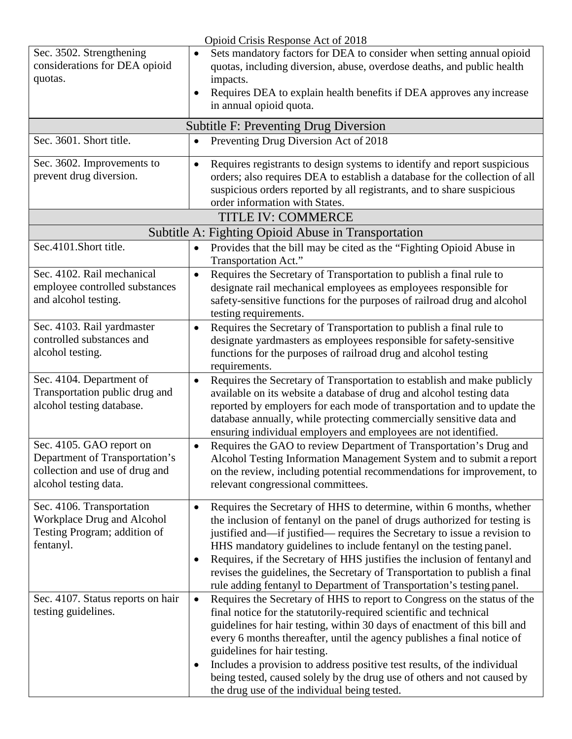|                                                                                                                       | Opioid Crisis Response Act of 2018                                                                                                                                                                                                                                                                                                                                                                                                                                                                                                                                 |
|-----------------------------------------------------------------------------------------------------------------------|--------------------------------------------------------------------------------------------------------------------------------------------------------------------------------------------------------------------------------------------------------------------------------------------------------------------------------------------------------------------------------------------------------------------------------------------------------------------------------------------------------------------------------------------------------------------|
| Sec. 3502. Strengthening<br>considerations for DEA opioid<br>quotas.                                                  | Sets mandatory factors for DEA to consider when setting annual opioid<br>$\bullet$<br>quotas, including diversion, abuse, overdose deaths, and public health<br>impacts.<br>Requires DEA to explain health benefits if DEA approves any increase<br>$\bullet$<br>in annual opioid quota.                                                                                                                                                                                                                                                                           |
|                                                                                                                       | <b>Subtitle F: Preventing Drug Diversion</b>                                                                                                                                                                                                                                                                                                                                                                                                                                                                                                                       |
| Sec. 3601. Short title.                                                                                               | Preventing Drug Diversion Act of 2018                                                                                                                                                                                                                                                                                                                                                                                                                                                                                                                              |
| Sec. 3602. Improvements to<br>prevent drug diversion.                                                                 | Requires registrants to design systems to identify and report suspicious<br>$\bullet$<br>orders; also requires DEA to establish a database for the collection of all<br>suspicious orders reported by all registrants, and to share suspicious<br>order information with States.                                                                                                                                                                                                                                                                                   |
|                                                                                                                       | TITLE IV: COMMERCE                                                                                                                                                                                                                                                                                                                                                                                                                                                                                                                                                 |
|                                                                                                                       | Subtitle A: Fighting Opioid Abuse in Transportation                                                                                                                                                                                                                                                                                                                                                                                                                                                                                                                |
| Sec.4101.Short title.                                                                                                 | Provides that the bill may be cited as the "Fighting Opioid Abuse in<br>$\bullet$<br>Transportation Act."                                                                                                                                                                                                                                                                                                                                                                                                                                                          |
| Sec. 4102. Rail mechanical<br>employee controlled substances<br>and alcohol testing.                                  | Requires the Secretary of Transportation to publish a final rule to<br>$\bullet$<br>designate rail mechanical employees as employees responsible for<br>safety-sensitive functions for the purposes of railroad drug and alcohol<br>testing requirements.                                                                                                                                                                                                                                                                                                          |
| Sec. 4103. Rail yardmaster<br>controlled substances and<br>alcohol testing.                                           | Requires the Secretary of Transportation to publish a final rule to<br>$\bullet$<br>designate yardmasters as employees responsible for safety-sensitive<br>functions for the purposes of railroad drug and alcohol testing<br>requirements.                                                                                                                                                                                                                                                                                                                        |
| Sec. 4104. Department of<br>Transportation public drug and<br>alcohol testing database.                               | Requires the Secretary of Transportation to establish and make publicly<br>$\bullet$<br>available on its website a database of drug and alcohol testing data<br>reported by employers for each mode of transportation and to update the<br>database annually, while protecting commercially sensitive data and<br>ensuring individual employers and employees are not identified.                                                                                                                                                                                  |
| Sec. 4105. GAO report on<br>Department of Transportation's<br>collection and use of drug and<br>alcohol testing data. | Requires the GAO to review Department of Transportation's Drug and<br>$\bullet$<br>Alcohol Testing Information Management System and to submit a report<br>on the review, including potential recommendations for improvement, to<br>relevant congressional committees.                                                                                                                                                                                                                                                                                            |
| Sec. 4106. Transportation<br>Workplace Drug and Alcohol<br>Testing Program; addition of<br>fentanyl.                  | Requires the Secretary of HHS to determine, within 6 months, whether<br>$\bullet$<br>the inclusion of fentanyl on the panel of drugs authorized for testing is<br>justified and—if justified— requires the Secretary to issue a revision to<br>HHS mandatory guidelines to include fentanyl on the testing panel.<br>Requires, if the Secretary of HHS justifies the inclusion of fentanyl and<br>$\bullet$<br>revises the guidelines, the Secretary of Transportation to publish a final<br>rule adding fentanyl to Department of Transportation's testing panel. |
| Sec. 4107. Status reports on hair<br>testing guidelines.                                                              | Requires the Secretary of HHS to report to Congress on the status of the<br>$\bullet$<br>final notice for the statutorily-required scientific and technical<br>guidelines for hair testing, within 30 days of enactment of this bill and<br>every 6 months thereafter, until the agency publishes a final notice of<br>guidelines for hair testing.<br>Includes a provision to address positive test results, of the individual<br>being tested, caused solely by the drug use of others and not caused by<br>the drug use of the individual being tested.         |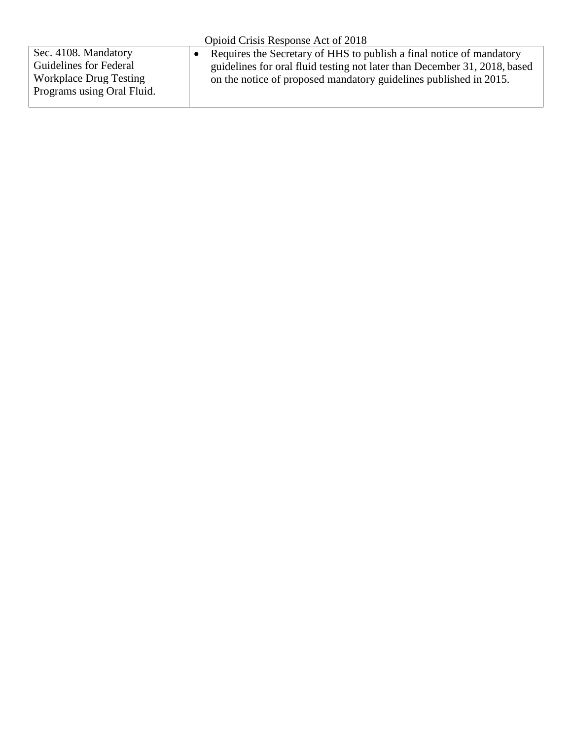| Opioid Crisis Response Act of 2018                                                                            |                                                                                                                                                                                                                        |  |  |  |
|---------------------------------------------------------------------------------------------------------------|------------------------------------------------------------------------------------------------------------------------------------------------------------------------------------------------------------------------|--|--|--|
| Sec. 4108. Mandatory<br>Guidelines for Federal<br><b>Workplace Drug Testing</b><br>Programs using Oral Fluid. | Requires the Secretary of HHS to publish a final notice of mandatory<br>guidelines for oral fluid testing not later than December 31, 2018, based<br>on the notice of proposed mandatory guidelines published in 2015. |  |  |  |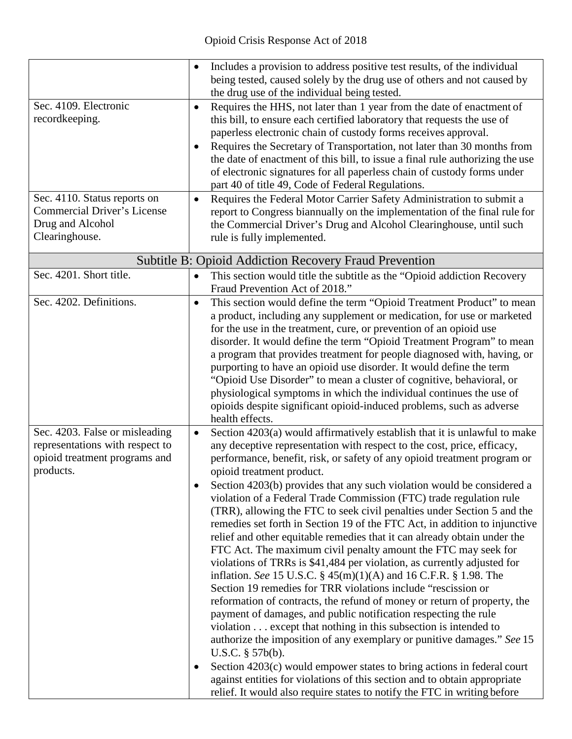|                                    | $\bullet$ | Includes a provision to address positive test results, of the individual                                                                     |
|------------------------------------|-----------|----------------------------------------------------------------------------------------------------------------------------------------------|
|                                    |           | being tested, caused solely by the drug use of others and not caused by                                                                      |
|                                    |           | the drug use of the individual being tested.                                                                                                 |
| Sec. 4109. Electronic              | $\bullet$ | Requires the HHS, not later than 1 year from the date of enactment of                                                                        |
| recordkeeping.                     |           | this bill, to ensure each certified laboratory that requests the use of                                                                      |
|                                    |           | paperless electronic chain of custody forms receives approval.                                                                               |
|                                    | $\bullet$ | Requires the Secretary of Transportation, not later than 30 months from                                                                      |
|                                    |           | the date of enactment of this bill, to issue a final rule authorizing the use                                                                |
|                                    |           | of electronic signatures for all paperless chain of custody forms under                                                                      |
|                                    |           | part 40 of title 49, Code of Federal Regulations.                                                                                            |
| Sec. 4110. Status reports on       | $\bullet$ | Requires the Federal Motor Carrier Safety Administration to submit a                                                                         |
| <b>Commercial Driver's License</b> |           | report to Congress biannually on the implementation of the final rule for                                                                    |
| Drug and Alcohol                   |           | the Commercial Driver's Drug and Alcohol Clearinghouse, until such                                                                           |
| Clearinghouse.                     |           | rule is fully implemented.                                                                                                                   |
|                                    |           | <b>Subtitle B: Opioid Addiction Recovery Fraud Prevention</b>                                                                                |
| Sec. 4201. Short title.            |           |                                                                                                                                              |
|                                    | $\bullet$ | This section would title the subtitle as the "Opioid addiction Recovery<br>Fraud Prevention Act of 2018."                                    |
| Sec. 4202. Definitions.            |           |                                                                                                                                              |
|                                    | $\bullet$ | This section would define the term "Opioid Treatment Product" to mean                                                                        |
|                                    |           | a product, including any supplement or medication, for use or marketed<br>for the use in the treatment, cure, or prevention of an opioid use |
|                                    |           | disorder. It would define the term "Opioid Treatment Program" to mean                                                                        |
|                                    |           | a program that provides treatment for people diagnosed with, having, or                                                                      |
|                                    |           | purporting to have an opioid use disorder. It would define the term                                                                          |
|                                    |           | "Opioid Use Disorder" to mean a cluster of cognitive, behavioral, or                                                                         |
|                                    |           | physiological symptoms in which the individual continues the use of                                                                          |
|                                    |           | opioids despite significant opioid-induced problems, such as adverse                                                                         |
|                                    |           | health effects.                                                                                                                              |
| Sec. 4203. False or misleading     | $\bullet$ | Section 4203(a) would affirmatively establish that it is unlawful to make                                                                    |
| representations with respect to    |           | any deceptive representation with respect to the cost, price, efficacy,                                                                      |
| opioid treatment programs and      |           | performance, benefit, risk, or safety of any opioid treatment program or                                                                     |
| products.                          |           | opioid treatment product.                                                                                                                    |
|                                    |           | Section 4203(b) provides that any such violation would be considered a                                                                       |
|                                    |           | violation of a Federal Trade Commission (FTC) trade regulation rule                                                                          |
|                                    |           | (TRR), allowing the FTC to seek civil penalties under Section 5 and the                                                                      |
|                                    |           | remedies set forth in Section 19 of the FTC Act, in addition to injunctive                                                                   |
|                                    |           | relief and other equitable remedies that it can already obtain under the                                                                     |
|                                    |           | FTC Act. The maximum civil penalty amount the FTC may seek for                                                                               |
|                                    |           | violations of TRRs is \$41,484 per violation, as currently adjusted for                                                                      |
|                                    |           | inflation. See 15 U.S.C. $\S$ 45(m)(1)(A) and 16 C.F.R. $\S$ 1.98. The                                                                       |
|                                    |           | Section 19 remedies for TRR violations include "rescission or                                                                                |
|                                    |           | reformation of contracts, the refund of money or return of property, the                                                                     |
|                                    |           | payment of damages, and public notification respecting the rule                                                                              |
|                                    |           | violation except that nothing in this subsection is intended to                                                                              |
|                                    |           | authorize the imposition of any exemplary or punitive damages." See 15                                                                       |
|                                    |           | U.S.C. $§$ 57b(b).                                                                                                                           |
|                                    | $\bullet$ | Section 4203(c) would empower states to bring actions in federal court                                                                       |
|                                    |           | against entities for violations of this section and to obtain appropriate                                                                    |
|                                    |           | relief. It would also require states to notify the FTC in writing before                                                                     |